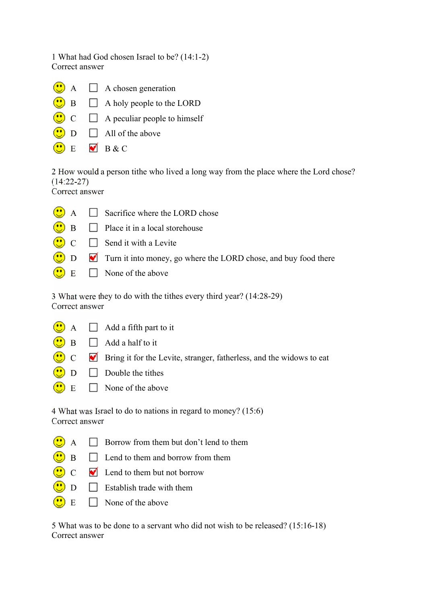1 What had God chosen Israel to be? (14:1-2) Correct answer

- $\bullet$  A  $\Box$  A chosen generation
- $\bullet$  B  $\Box$  A holy people to the LORD
- $\overline{\mathbf{C}}$   $\Box$  A peculiar people to himself
- $\bigcirc$  D  $\Box$  All of the above
	- $E$  B & C

2 How would a person tithe who lived a long way from the place where the Lord chose? (14:22-27)

Correct answer

 $\bullet$  $\Box$  Sacrifice where the LORD chose  $\circ$  $\Box$  B  $\Box$  Place it in a local storehouse  $\bigcirc$  $\Box$  C  $\Box$  Send it with a Levite D D Turn it into money, go where the LORD chose, and buy food there  $\bigcirc$  E  $\Box$  None of the above

3 What were they to do with the tithes every third year? (14:28-29) Correct answer

- $\bigcup_{A} A$   $\Box$  Add a fifth part to it
- $\bigcirc$  B  $\Box$  Add a half to it
- $\circled{c}$  C  $\bullet$  Bring it for the Levite, stranger, fatherless, and the widows to eat
	- $\Box$  Double the tithes
- $E \Box$  None of the above

4 What was Israel to do to nations in regard to money? (15:6) Correct answer

- $\bigodot$  A  $\Box$  Borrow from them but don't lend to them
- $\overline{\mathbb{C}}$  $\Box$  Lend to them and borrow from them
- $\bigodot$  C  $\bigodot$  Lend to them but not borrow
- $\bigcirc$  D  $\Box$  Establish trade with them
	- $E \Box$  None of the above

5 What was to be done to a servant who did not wish to be released? (15:16-18) Correct answer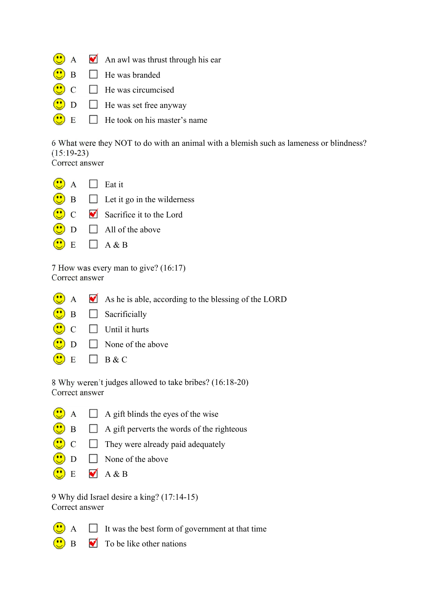- $\bigodot$  A  $\bigodot$  An awl was thrust through his ear
- $\overline{\mathbf{c}}$  $\Box$  He was branded
- $\overline{C}$   $\overline{C}$  He was circumcised
- $D \Box$  He was set free anyway
- $\bullet$  $\overline{E}$   $\overline{E}$  He took on his master's name

6 What were they NOT to do with an animal with a blemish such as lameness or blindness? (15:19-23)

Correct answer

 $\odot$  $A \Box$  Eat it  $\bullet$  $\Box$  Let it go in the wilderness  $\overline{C}$  Sacrifice it to the Lord  $\Box$   $\Box$  All of the above  $E \Box A \& B$ 

7 How was every man to give? (16:17) Correct answer

- $\bigodot$  A  $\blacksquare$  As he is able, according to the blessing of the LORD
- $\bigcirc$  B  $\Box$  Sacrificially
- $\begin{array}{ccc} \cdot & \cdot & \cdot \\ \cdot & \cdot & \cdot \end{array}$  Until it hurts
- $\bullet$  $\Box$  None of the above
- $\bigcirc$  E  $\Box$  B & C

8 Why weren't judges allowed to take bribes? (16:18-20) Correct answer

- $\bullet$  $A \Box A$  gift blinds the eyes of the wise
	- $\Box$  A gift perverts the words of the righteous
	- $\begin{array}{ccc} \hline \end{array}$   $\begin{array}{ccc} \hline \end{array}$  They were already paid adequately
- $\bullet$  $D \Box$  None of the above
- $\bigcirc$  E  $\blacksquare$  A & B

9 Why did Israel desire a king? (17:14-15) Correct answer

 $\overline{A}$  It was the best form of government at that time



 $\mathbf{B}$   $\blacksquare$  To be like other nations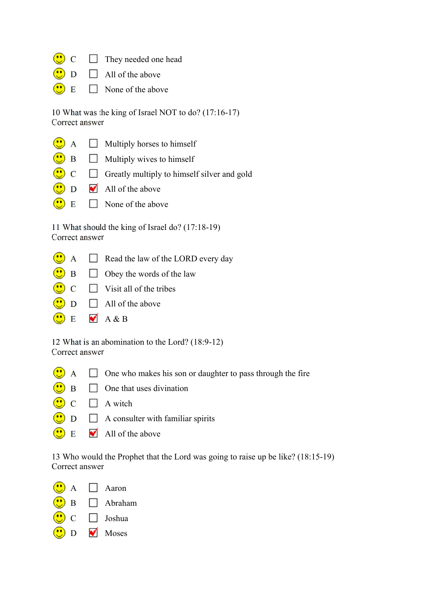- $\overline{\mathbf{C}}$   $\Box$  They needed one head
	- $D \Box$  All of the above
	- $E \Box$  None of the above

10 What was the king of Israel NOT to do? (17:16-17) Correct answer

|  | $\bigcirc$ A $\Box$ Multiply horses to himself                  |
|--|-----------------------------------------------------------------|
|  | $\bullet$ B $\Box$ Multiply wives to himself                    |
|  | $\bigcirc$ C $\Box$ Greatly multiply to himself silver and gold |
|  | $\bigcirc$ D $\blacksquare$ All of the above                    |
|  | $\bigcirc$ E $\Box$ None of the above                           |

11 What should the king of Israel do? (17:18-19) Correct answer

- $\bigodot$  A  $\Box$  Read the law of the LORD every day
- $\overline{\mathbf{B}}$  B  $\Box$  Obey the words of the law
- $\overline{\mathbf{C}}$   $\Box$  Visit all of the tribes
- $\bigcirc$  D  $\Box$  All of the above
- $\bigodot$  E  $\blacksquare$  A & B

12 What is an abomination to the Lord? (18:9-12) Correct answer

- $\bigodot$  A  $\Box$  One who makes his son or daughter to pass through the fire
- $\overline{\bigcirc}$  B  $\Box$  One that uses divination
- $\bigodot$  C  $\Box$  A witch
- $\bigcirc$  D  $\Box$  A consulter with familiar spirits
- $\bullet$  E  $\bullet$  All of the above

13 Who would the Prophet that the Lord was going to raise up be like? (18:15-19) Correct answer

 $A \Box$  Aaron B Abraham C Joshua D **M** Moses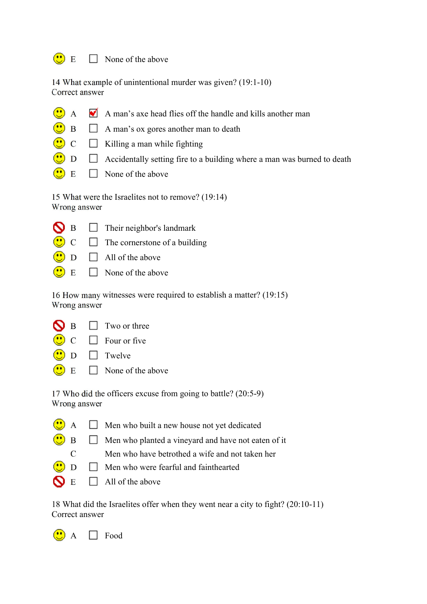## $\bigodot$  E  $\Box$  None of the above

 $\bigcirc$ 

S  $\bigodot$ 

| 14 What example of unintentional murder was given? (19:1-10) |  |
|--------------------------------------------------------------|--|
| Correct answer                                               |  |

- $\odot$ A  $\blacksquare$  A man's axe head flies off the handle and kills another man
	- $\Box$  A man's ox gores another man to death
- $\bigcirc$  $\overline{C}$   $\Box$  Killing a man while fighting
	- $\Box$   $\Box$  Accidentally setting fire to a building where a man was burned to death
- $\overline{\mathbf{C}}$  E  $\Box$  None of the above

15 What were the Israelites not to remove? (19:14) Wrong answer

| $\Box$ Their neighbor's landmark |
|----------------------------------|
|                                  |

- $C \Box$  The cornerstone of a building
- $D \Box$  All of the above
- $E \square$  None of the above

16 How many witnesses were required to establish a matter? (19:15) Wrong answer

|  | $\bigcirc$ B $\Box$ Two or three                                                          |
|--|-------------------------------------------------------------------------------------------|
|  | $\bigcirc$ C $\Box$ Four or five                                                          |
|  | $\left(\begin{array}{c}\bullet\bullet\bullet\end{array}\right)$ D Twelve                  |
|  | $\left(\begin{array}{c} \bullet \\ \bullet \end{array}\right)$ E $\Box$ None of the above |

17 Who did the officers excuse from going to battle? (20:5-9) Wrong answer

- $\bigcirc$  A  $\Box$  Men who built a new house not yet dedicated  $\bigcirc$  B  $\Box$  Men who planted a vineyard and have not eaten of it
	- C Men who have betrothed a wife and not taken her
- $\bigcirc$  D  $\Box$  Men who were fearful and fainthearted
- $\bigcirc$  E  $\Box$  All of the above

18 What did the Israelites offer when they went near a city to fight? (20:10-11) Correct answer

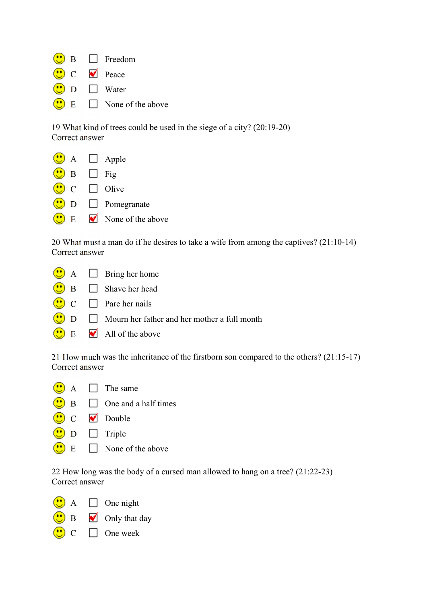|  | $\left(\begin{array}{c}\bullet\bullet\bullet\end{array}\right)$ B $\Box$ Freedom            |
|--|---------------------------------------------------------------------------------------------|
|  | $\left(\begin{array}{c}\bullet\bullet\end{array}\right)$ C $\bullet\bullet\$ Peace          |
|  | $\left(\begin{array}{c}\bullet\bullet\bullet\end{array}\right)$ D Water                     |
|  | $\left(\begin{array}{c}\n\bullet \\ \bullet\n\end{array}\right)$ E $\Box$ None of the above |

19 What kind of trees could be used in the siege of a city? (20:19-20) Correct answer

|                                                                                | $\bullet$ A $\Box$ Apple                |
|--------------------------------------------------------------------------------|-----------------------------------------|
| $\bigcirc$ B $\Box$ Fig                                                        |                                         |
| $\left(\begin{array}{c}\bullet\bullet\bullet\end{array}\right)$ C $\Box$ Olive |                                         |
|                                                                                | $\bigcirc$ D $\Box$ Pomegranate         |
|                                                                                | $\bullet$ E $\bullet$ None of the above |

20 What must a man do if he desires to take a wife from among the captives? (21:10-14) Correct answer



21 How much was the inheritance of the firstborn son compared to the others? (21:15-17) Correct answer

- $\bigodot$  A  $\Box$  The same
- $\bigcirc$  B  $\Box$  One and a half times
- C **D** Double
- $\bigcirc$  D  $\Box$  Triple
- $\left(\begin{array}{c} \bullet \\ \bullet \end{array}\right)$  E None of the above

22 How long was the body of a cursed man allowed to hang on a tree? (21:22-23) Correct answer

- $A \Box$  One night
- $\overrightarrow{B}$  Only that day
- $C \Box$  One week